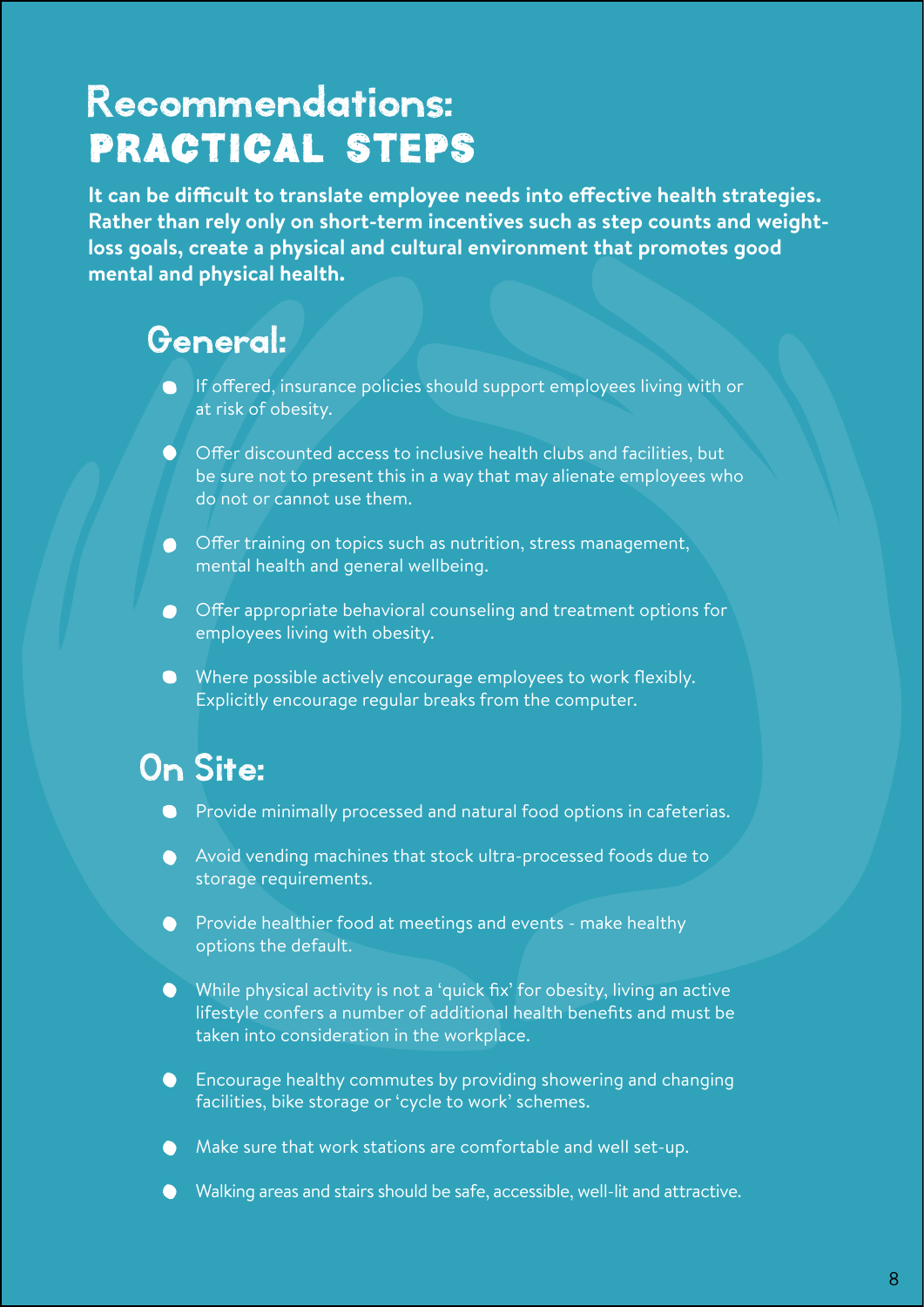## Recommendations: Practical steps

**It can be difficult to translate employee needs into effective health strategies. Rather than rely only on short-term incentives such as step counts and weightloss goals, create a physical and cultural environment that promotes good mental and physical health.**

## General:

- If offered, insurance policies should support employees living with or at risk of obesity.
- $\bullet$  Offer discounted access to inclusive health clubs and facilities, but be sure not to present this in a way that may alienate employees who do not or cannot use them.
- Offer training on topics such as nutrition, stress management, mental health and general wellbeing.
- Offer appropriate behavioral counseling and treatment options for employees living with obesity.
- Where possible actively encourage employees to work flexibly. Explicitly encourage regular breaks from the computer.

## On Site:

- **•** Provide minimally processed and natural food options in cafeterias.
- Avoid vending machines that stock ultra-processed foods due to storage requirements.
- **•** Provide healthier food at meetings and events make healthy options the default.
- While physical activity is not a 'quick fix' for obesity, living an active lifestyle confers a number of additional health benefits and must be taken into consideration in the workplace.
- Encourage healthy commutes by providing showering and changing facilities, bike storage or 'cycle to work' schemes.
- A Make sure that work stations are comfortable and well set-up.
- Walking areas and stairs should be safe, accessible, well-lit and attractive.